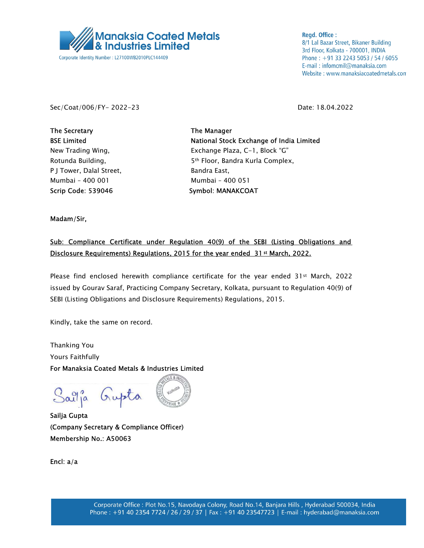

**Regd. Office:** 8/1 Lal Bazar Street, Bikaner Building 3rd Floor, Kolkata - 700001, INDIA Phone: +91 33 2243 5053 / 54 / 6055 E-mail: infomcmil@manaksia.com Website: www.manaksiacoatedmetals.com

Sec/Coat/006/FY- 2022-23 Date: 18.04.2022

The Secretary The Manager P J Tower, Dalal Street, Bandra East, Mumbai – 400 001 Mumbai – 400 051 Scrip Code: 539046 Symbol: MANAKCOAT

BSE Limited **National Stock Exchange of India Limited** New Trading Wing, The Exchange Plaza, C-1, Block "G" Rotunda Building, The State of the State State State Bottom Standard Kurla Complex,

Madam/Sir,

## Sub: Compliance Certificate under Regulation 40(9) of the SEBI (Listing Obligations and Disclosure Requirements) Regulations, 2015 for the year ended 31<sup>st</sup> March, 2022.

Please find enclosed herewith compliance certificate for the year ended 31st March, 2022 issued by Gourav Saraf, Practicing Company Secretary, Kolkata, pursuant to Regulation 40(9) of SEBI (Listing Obligations and Disclosure Requirements) Regulations, 2015.

Kindly, take the same on record.

Thanking You Yours Faithfully For Manaksia Coated Metals & Industries Limited

Saîlja Gupta

Sailja Gupta (Company Secretary & Compliance Officer) Membership No.: A50063

Encl: a/a